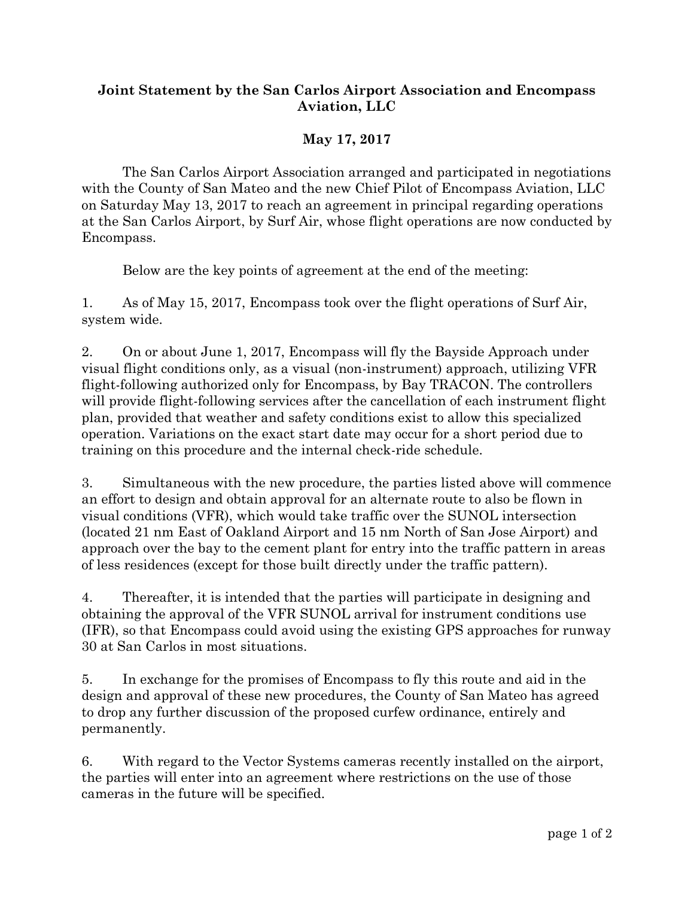## **Joint Statement by the San Carlos Airport Association and Encompass Aviation, LLC**

## **May 17, 2017**

The San Carlos Airport Association arranged and participated in negotiations with the County of San Mateo and the new Chief Pilot of Encompass Aviation, LLC on Saturday May 13, 2017 to reach an agreement in principal regarding operations at the San Carlos Airport, by Surf Air, whose flight operations are now conducted by Encompass.

Below are the key points of agreement at the end of the meeting:

1. As of May 15, 2017, Encompass took over the flight operations of Surf Air, system wide.

2. On or about June 1, 2017, Encompass will fly the Bayside Approach under visual flight conditions only, as a visual (non-instrument) approach, utilizing VFR flight-following authorized only for Encompass, by Bay TRACON. The controllers will provide flight-following services after the cancellation of each instrument flight plan, provided that weather and safety conditions exist to allow this specialized operation. Variations on the exact start date may occur for a short period due to training on this procedure and the internal check-ride schedule.

3. Simultaneous with the new procedure, the parties listed above will commence an effort to design and obtain approval for an alternate route to also be flown in visual conditions (VFR), which would take traffic over the SUNOL intersection (located 21 nm East of Oakland Airport and 15 nm North of San Jose Airport) and approach over the bay to the cement plant for entry into the traffic pattern in areas of less residences (except for those built directly under the traffic pattern).

4. Thereafter, it is intended that the parties will participate in designing and obtaining the approval of the VFR SUNOL arrival for instrument conditions use (IFR), so that Encompass could avoid using the existing GPS approaches for runway 30 at San Carlos in most situations.

5. In exchange for the promises of Encompass to fly this route and aid in the design and approval of these new procedures, the County of San Mateo has agreed to drop any further discussion of the proposed curfew ordinance, entirely and permanently.

6. With regard to the Vector Systems cameras recently installed on the airport, the parties will enter into an agreement where restrictions on the use of those cameras in the future will be specified.